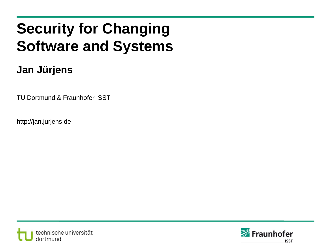# **Security for Changing Software and Systems**

### **Jan Jürjens**

TU Dortmund & Fraunhofer ISST

http://jan.jurjens.de



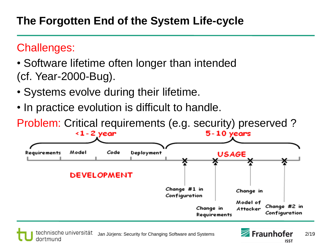## Challenges:

- Software lifetime often longer than intended (cf. Year-2000-Bug).
- Systems evolve during their lifetime.
- In practice evolution is difficult to handle.

Problem: Critical requirements (e.g. security) preserved ?



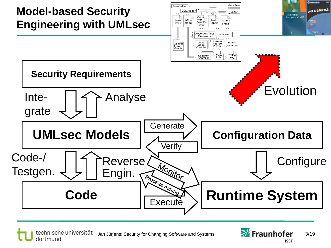

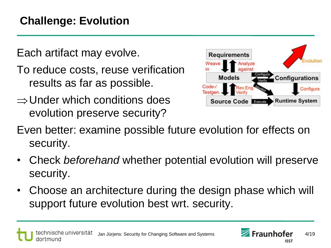Each artifact may evolve.

- To reduce costs, reuse verification results as far as possible.
- $\Rightarrow$  Under which conditions does evolution preserve security?



Even better: examine possible future evolution for effects on security.

- Check *beforehand* whether potential evolution will preserve security.
- Choose an architecture during the design phase which will support future evolution best wrt. security.

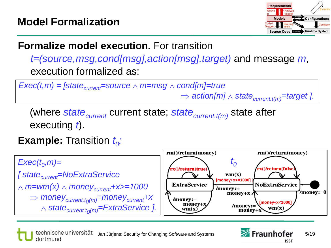

## **Formalize model execution.** For transition

*t=(source,msg,cond[msg],action[msg],target)* and message *m*, execution formalized as:

*Exec(t,m)* = [state<sub>current</sub>=source  $\land$  m=msg  $\land$  cond[m]=true  $\Rightarrow$  action[m]  $\land$  state<sub>current.t(m)</sub>=target ].

(where *statecurrent* current state; *statecurrent.t(m)* state after executing *t*).

# **Example:** Transition *t<sup>0</sup> :*



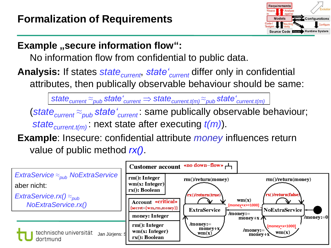

### **Example** "secure information flow":

No information flow from confidential to public data.

**Analysis:** If states *statecurrent*, *state'current* differ only in confidential attributes, then publically observable behaviour should be same:

*statecurrent ≈pub state'current statecurrent.t(m) ≈pub state'current.t(m)*

(*statecurrent ≈pub state'current* : same publically observable behaviour; *statecurrent.t(m)* : next state after executing *t(m)*).

**Example**: Insecure: confidential attribute *money* influences return value of public method *rx()*.

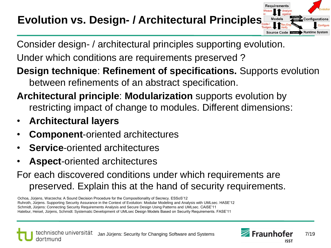# **Evolution vs. Design- / Architectural Principles**

Consider design- / architectural principles supporting evolution.

Under which conditions are requirements preserved ?

**Design technique**: **Refinement of specifications.** Supports evolution between refinements of an abstract specification.

- **Architectural principle**: **Modularization** supports evolution by restricting impact of change to modules. Different dimensions:
- **Architectural layers**
- **Component**-oriented architectures
- **Service-oriented architectures**
- **Aspect**-oriented architectures
- For each discovered conditions under which requirements are preserved. Explain this at the hand of security requirements.

Ochoa, Jürjens, Warzecha: A Sound Decision Procedure for the Compositionality of Secrecy. ESSoS'12 Ruhroth, Jürjens. Supporting Security Assurance in the Context of Evolution: Modular Modeling and Analysis with UMLsec. HASE'12 Schmidt, Jürjens: Connecting Security Requirements Analysis and Secure Design Using Patterns and UMLsec. CAiSE'11 Hatebur, Heisel, Jürjens, Schmidt: Systematic Development of UMLsec Design Models Based on Security Requirements. FASE'11



**Requirements** 

Source Code Execute

**Runtime System**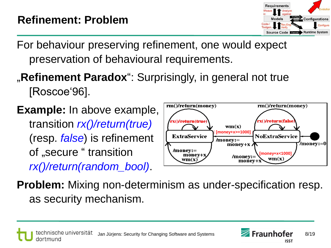

For behaviour preserving refinement, one would expect preservation of behavioural requirements.

# **"Refinement Paradox**": Surprisingly, in general not true [Roscoe'96].

**Example:** In above example, transition *rx()/return(true)* (resp. *false*) is refinement of "secure " transition *rx()/return(random\_bool)*.



**Problem:** Mixing non-determinism as under-specification resp. as security mechanism.

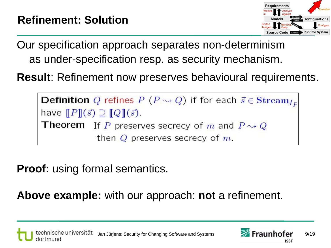

Our specification approach separates non-determinism as under-specification resp. as security mechanism.

**Result**: Refinement now preserves behavioural requirements.

**Definition** Q refines  $P(P \rightsquigarrow Q)$  if for each  $\vec{s} \in \mathbf{Stream}_{I_E}$ have  $[$ [P]] $(\vec{s}) \supseteq [$ [Q]] $(\vec{s})$ . **Theorem** If P preserves secrecy of m and  $P \rightsquigarrow Q$ then  $Q$  preserves secrecy of  $m$ .

**Proof:** using formal semantics.

**Above example:** with our approach: **not** a refinement.



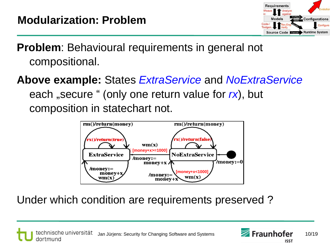

**Problem**: Behavioural requirements in general not compositional.

**Above example:** States *ExtraService* and *NoExtraService* each "secure " (only one return value for  $rx$ ), but composition in statechart not.



Under which condition are requirements preserved ?



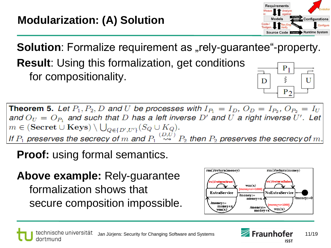

 $P_2$ 

**Solution**: Formalize requirement as "rely-guarantee"-property. **Result**: Using this formalization, get conditions  $P_1$ for compositionality. ξ D U

**Theorem 5.** Let  $P_1, P_2, D$  and U be processes with  $I_{P_1} = I_D, O_D = I_{P_2}, O_{P_2} = I_U$ and  $O_U = O_{P_1}$  and such that D has a left inverse D' and U a right inverse U'. Let  $m \in (\text{Secret} \cup \text{Keys}) \setminus \bigcup_{Q \in \{D', U'\}} (S_Q \cup K_Q).$ If  $P_1$  preserves the secrecy of m and  $P_1 \stackrel{(D,U)}{\leadsto} P_2$  then  $P_2$  preserves the secrecy of m.

**Proof:** using formal semantics.

**Above example:** Rely-guarantee formalization shows that secure composition impossible.



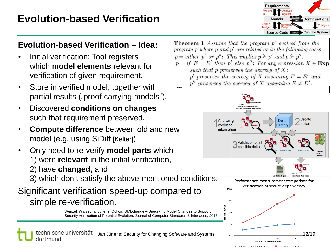## **Evolution-based Verification**

#### **Evolution-based Verification – Idea:**

- Initial verification: Tool registers which **model elements** relevant for verification of given requirement.
- Store in verified model, together with partial results ("proof-carrying models").
- Discovered **conditions on changes** such that requirement preserved.
- **Compute difference** between old and new model (e.g. using SiDiff [Kelter]).
- Only need to re-verify **model parts** which
	- 1) were **relevant** in the initial verification,
	- 2) have **changed,** and
	- 3) which don't satisfy the above-mentioned conditions.

#### Significant verification speed-up compared to simple re-verification.

Wenzel, Warzecha, Jürjens, Ochoa: UMLchange – Specifying Model Changes to Support Security Verification of Potential Evolution. Journal of Computer Standards & Interfaces, 2013.

technische universität Jan Jürjens: Security for Changing Software and Systems  $\frac{1}{2}$   $\frac{1}{2}$   $\frac{1}{2}$   $\frac{30}{2}$   $\frac{50}{2}$   $\frac{70}{2}$  12/19 dortmund



**Theorem 1** Assume that the program  $p'$  evolved from the program p where p and  $p'$  are related as in the following cases  $p = either \ p' \ or \ p''$ : This implies  $p \geq p'$  and  $p \geq p''$ .  $p = if E = E'$  then p' else p'': For any expression  $X \in \mathbf{Exp}$ such that p preserves the secrecy of  $X$ : p' preserves the secrecy of X assuming  $E = E'$  and p'' preserves the secrecy of X assuming  $E \neq E'$ . **...**



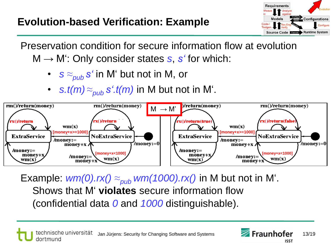

Preservation condition for secure information flow at evolution M → M': Only consider states *s*, *s'* for which:

- *s ≈pub s'* in M' but not in M, or
- *s.t(m) ≈pub s'.t(m)* in M but not in M'.



Example:  $wm(0).rx() \approx_{pub} wm(1000).rx()$  in M but not in M'. Shows that M' **violates** secure information flow (confidential data *0* and *1000* distinguishable).

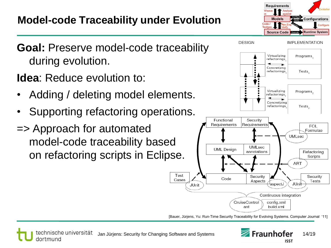





**Idea**: Reduce evolution to:

- Adding / deleting model elements.
- Supporting refactoring operations.
- => Approach for automated model-code traceability based on refactoring scripts in Eclipse.



[Bauer, Jürjens, Yu: Run-Time Security Traceability for Evolving Systems. Computer Journal '11]

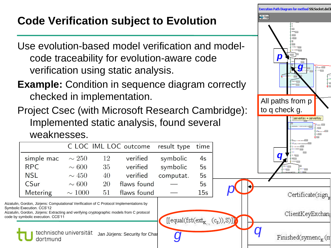# **Code Verification subject to Evolution**

Use evolution-based model verification and modelcode traceability for evolution-aware code verification using static analysis.

**Example:** Condition in sequence diagram correctly checked in implementation.

Project Csec (with Microsoft Research Cambridge): Implemented static analysis, found several weaknesses.



C LOC IML LOC outcome result type time verified simple mac  $\sim 250$ 12 symbolic  $4s$ RPC  $\sim 600$ 35 verified symbolic  $5s$ **NSI**  $\sim 450$ 40 verified computat.  $5s$  $CS<sub>ur</sub>$ flaws found  $\sim 600$  $20$  $5s$ flaws found **Metering**  $\sim 1000$  $51$  $15s$ 

Aizatulin, Gordon, Jürjens: Computational Verification of C Protocol Implementations by Symbolic Execution. CCS'12

Aizatulin, Gordon, Jürjens: Extracting and verifying cryptographic models from C protocol code by symbolic execution. CCS'11

> technische universität dortmund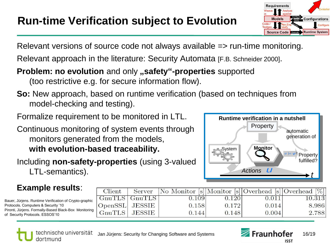

Relevant versions of source code not always available => run-time monitoring.

Relevant approach in the literature: Security Automata [F.B. Schneider 2000].

#### **Problem: no evolution** and only **, safety** "-**properties** supported (too restrictive e.g. for secure information flow).

- **So:** New approach, based on runtime verification (based on techniques from model-checking and testing).
- Formalize requirement to be monitored in LTL.

Continuous monitoring of system events through monitors generated from the models, **with evolution-based traceability.**

Including **non-safety-properties** (using 3-valued LTL-semantics).



#### **Example results**:

Bauer, Jürjens. Runtime Verification of Crypto-graphic Protocols. Computers & Security '10 Pironti, Jürjens. Formally-Based Black-Box Monitoring of Security Protocols. ESSOS'10

| Client                          | Server   No Monitor [s] Monitor [s] Overhead [s] Overhead [%] |       |          |        |
|---------------------------------|---------------------------------------------------------------|-------|----------|--------|
| $\text{GnuTLS}$ $\text{GnuTLS}$ | 0.109                                                         | 0.120 | $-0.011$ | 10.313 |
| OpenSSL JESSIE                  | 0.158                                                         | 0.172 | 0.014    | 8.986  |
| $GnuTLS$ JESSIE                 | 0.144                                                         | 0.148 | 0.004    | 2.788  |



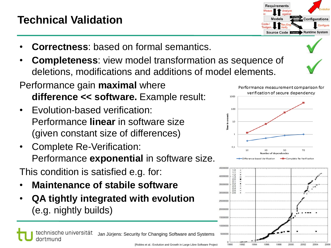# **Technical Validation**

- **Correctness**: based on formal semantics.
- **Completeness**: view model transformation as sequence of deletions, modifications and additions of model elements.
- Performance gain **maximal** where **difference << software.** Example result:
- Evolution-based verification: Performance **linear** in software size (given constant size of differences)
- Complete Re-Verification: Performance **exponential** in software size.

This condition is satisfied e.g. for:

- **Maintenance of stabile software**
- **QA tightly integrated with evolution**



Complete Re-Verificatio

Performance measurement comparison for verification of secure dependency

1000

in seconds



ference-based Verification

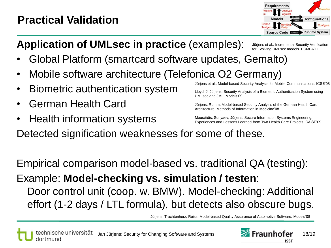# **Practical Validation**



# **Application of UMLsec in practice** (examples):

Jürjens et al.: Incremental Security Verification for Evolving UMLsec models. ECMFA'11

- Global Platform (smartcard software updates, Gemalto)
- Mobile software architecture (Telefonica O2 Germany)
- Biometric authentication system
- German Health Card
- Health information systems

Jürjens et al.: Model-based Security Analysis for Mobile Communications. ICSE'08

Lloyd, J. Jürjens, Security Analysis of a Biometric Authentication System using UMLsec and JML. Models'09

Jürjens, Rumm: Model-based Security Analysis of the German Health Card Architecture. Methods of Information in Medicine'08

Mouratidis, Sunyaev, Jürjens: Secure Information Systems Engineering: Experiences and Lessons Learned from Two Health Care Projects. CAiSE'09

Detected signification weaknesses for some of these.

Empirical comparison model-based vs. traditional QA (testing): Example: **Model-checking vs. simulation / testen**: Door control unit (coop. w. BMW). Model-checking: Additional effort (1-2 days / LTL formula), but detects also obscure bugs.

Jürjens, Trachtenherz, Reiss: Model-based Quality Assurance of Automotive Software. Models'08